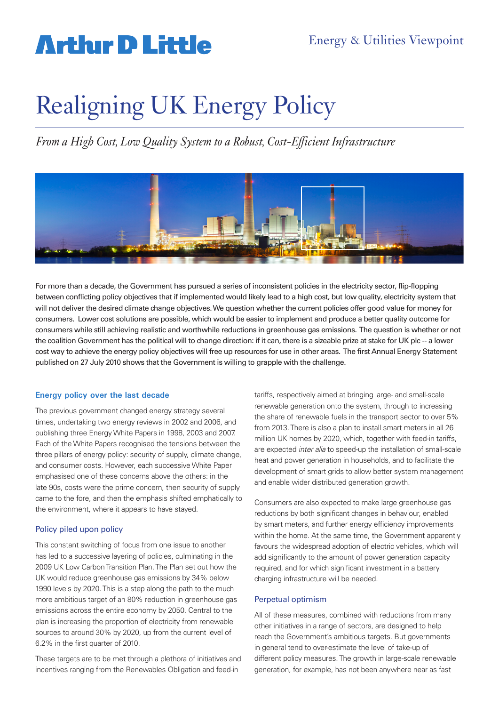# **Arthur D Little**

# Realigning UK Energy Policy

*From a High Cost, Low Quality System to a Robust, Cost-Efficient Infrastructure*



For more than a decade, the Government has pursued a series of inconsistent policies in the electricity sector, flip-flopping between conflicting policy objectives that if implemented would likely lead to a high cost, but low quality, electricity system that will not deliver the desired climate change objectives. We question whether the current policies offer good value for money for consumers. Lower cost solutions are possible, which would be easier to implement and produce a better quality outcome for consumers while still achieving realistic and worthwhile reductions in greenhouse gas emissions. The question is whether or not the coalition Government has the political will to change direction: if it can, there is a sizeable prize at stake for UK plc -- a lower cost way to achieve the energy policy objectives will free up resources for use in other areas. The first Annual Energy Statement published on 27 July 2010 shows that the Government is willing to grapple with the challenge.

### **Energy policy over the last decade**

The previous government changed energy strategy several times, undertaking two energy reviews in 2002 and 2006, and publishing three Energy White Papers in 1998, 2003 and 2007. Each of the White Papers recognised the tensions between the three pillars of energy policy: security of supply, climate change, and consumer costs. However, each successive White Paper emphasised one of these concerns above the others: in the late 90s, costs were the prime concern, then security of supply came to the fore, and then the emphasis shifted emphatically to the environment, where it appears to have stayed.

### Policy piled upon policy

This constant switching of focus from one issue to another has led to a successive layering of policies, culminating in the 2009 UK Low Carbon Transition Plan. The Plan set out how the UK would reduce greenhouse gas emissions by 34% below 1990 levels by 2020. This is a step along the path to the much more ambitious target of an 80% reduction in greenhouse gas emissions across the entire economy by 2050. Central to the plan is increasing the proportion of electricity from renewable sources to around 30% by 2020, up from the current level of 6.2% in the first quarter of 2010.

These targets are to be met through a plethora of initiatives and incentives ranging from the Renewables Obligation and feed-in

tariffs, respectively aimed at bringing large- and small-scale renewable generation onto the system, through to increasing the share of renewable fuels in the transport sector to over 5% from 2013. There is also a plan to install smart meters in all 26 million UK homes by 2020, which, together with feed-in tariffs, are expected inter alia to speed-up the installation of small-scale heat and power generation in households, and to facilitate the development of smart grids to allow better system management and enable wider distributed generation growth.

Consumers are also expected to make large greenhouse gas reductions by both significant changes in behaviour, enabled by smart meters, and further energy efficiency improvements within the home. At the same time, the Government apparently favours the widespread adoption of electric vehicles, which will add significantly to the amount of power generation capacity required, and for which significant investment in a battery charging infrastructure will be needed.

#### Perpetual optimism

All of these measures, combined with reductions from many other initiatives in a range of sectors, are designed to help reach the Government's ambitious targets. But governments in general tend to over-estimate the level of take-up of different policy measures. The growth in large-scale renewable generation, for example, has not been anywhere near as fast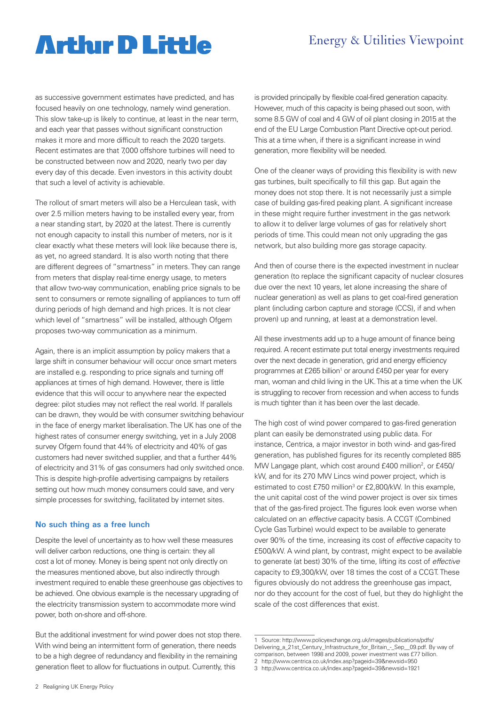## Energy & Utilities Viewpoint

# **Artlur D Little**

as successive government estimates have predicted, and has focused heavily on one technology, namely wind generation. This slow take-up is likely to continue, at least in the near term, and each year that passes without significant construction makes it more and more difficult to reach the 2020 targets. Recent estimates are that 7,000 offshore turbines will need to be constructed between now and 2020, nearly two per day every day of this decade. Even investors in this activity doubt that such a level of activity is achievable.

The rollout of smart meters will also be a Herculean task, with over 2.5 million meters having to be installed every year, from a near standing start, by 2020 at the latest. There is currently not enough capacity to install this number of meters, nor is it clear exactly what these meters will look like because there is, as yet, no agreed standard. It is also worth noting that there are different degrees of "smartness" in meters. They can range from meters that display real-time energy usage, to meters that allow two-way communication, enabling price signals to be sent to consumers or remote signalling of appliances to turn off during periods of high demand and high prices. It is not clear which level of "smartness" will be installed, although Ofgem proposes two-way communication as a minimum.

Again, there is an implicit assumption by policy makers that a large shift in consumer behaviour will occur once smart meters are installed e.g. responding to price signals and turning off appliances at times of high demand. However, there is little evidence that this will occur to anywhere near the expected degree: pilot studies may not reflect the real world. If parallels can be drawn, they would be with consumer switching behaviour in the face of energy market liberalisation. The UK has one of the highest rates of consumer energy switching, yet in a July 2008 survey Ofgem found that 44% of electricity and 40% of gas customers had never switched supplier, and that a further 44% of electricity and 31% of gas consumers had only switched once. This is despite high-profile advertising campaigns by retailers setting out how much money consumers could save, and very simple processes for switching, facilitated by internet sites.

#### **No such thing as a free lunch**

Despite the level of uncertainty as to how well these measures will deliver carbon reductions, one thing is certain: they all cost a lot of money. Money is being spent not only directly on the measures mentioned above, but also indirectly through investment required to enable these greenhouse gas objectives to be achieved. One obvious example is the necessary upgrading of the electricity transmission system to accommodate more wind power, both on-shore and off-shore.

But the additional investment for wind power does not stop there. With wind being an intermittent form of generation, there needs to be a high degree of redundancy and flexibility in the remaining generation fleet to allow for fluctuations in output. Currently, this

is provided principally by flexible coal-fired generation capacity. However, much of this capacity is being phased out soon, with some 8.5 GW of coal and 4 GW of oil plant closing in 2015 at the end of the EU Large Combustion Plant Directive opt-out period. This at a time when, if there is a significant increase in wind generation, more flexibility will be needed.

One of the cleaner ways of providing this flexibility is with new gas turbines, built specifically to fill this gap. But again the money does not stop there. It is not necessarily just a simple case of building gas-fired peaking plant. A significant increase in these might require further investment in the gas network to allow it to deliver large volumes of gas for relatively short periods of time. This could mean not only upgrading the gas network, but also building more gas storage capacity.

And then of course there is the expected investment in nuclear generation (to replace the significant capacity of nuclear closures due over the next 10 years, let alone increasing the share of nuclear generation) as well as plans to get coal-fired generation plant (including carbon capture and storage (CCS), if and when proven) up and running, at least at a demonstration level.

All these investments add up to a huge amount of finance being required. A recent estimate put total energy investments required over the next decade in generation, grid and energy efficiency programmes at £265 billion<sup>1</sup> or around £450 per year for every man, woman and child living in the UK. This at a time when the UK is struggling to recover from recession and when access to funds is much tighter than it has been over the last decade.

The high cost of wind power compared to gas-fired generation plant can easily be demonstrated using public data. For instance, Centrica, a major investor in both wind- and gas-fired generation, has published figures for its recently completed 885 MW Langage plant, which cost around £400 million<sup>2</sup>, or £450/ kW, and for its 270 MW Lincs wind power project, which is estimated to cost £750 million<sup>3</sup> or £2,800/kW. In this example, the unit capital cost of the wind power project is over six times that of the gas-fired project. The figures look even worse when calculated on an effective capacity basis. A CCGT (Combined Cycle Gas Turbine) would expect to be available to generate over 90% of the time, increasing its cost of effective capacity to £500/kW. A wind plant, by contrast, might expect to be available to generate (at best) 30% of the time, lifting its cost of effective capacity to £9,300/kW, over 18 times the cost of a CCGT. These figures obviously do not address the greenhouse gas impact, nor do they account for the cost of fuel, but they do highlight the scale of the cost differences that exist.

<sup>1</sup> Source: http://www.policyexchange.org.uk/images/publications/pdfs/ Delivering\_a\_21st\_Century\_Infrastructure\_for\_Britain\_-\_Sep\_\_09.pdf. By way of comparison, between 1998 and 2009, power investment was £77 billion. 2 http://www.centrica.co.uk/index.asp?pageid=39&newsid=950

<sup>3</sup> http://www.centrica.co.uk/index.asp?pageid=39&newsid=1921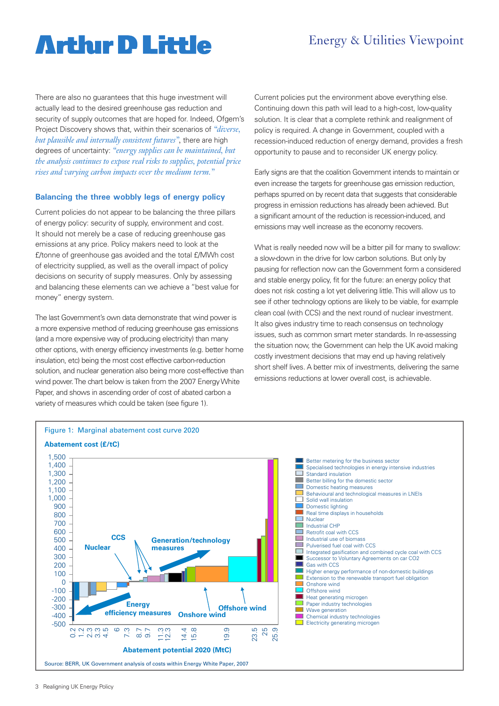# **Arthır D Little**

## Energy & Utilities Viewpoint

There are also no quarantees that this huge investment will actually lead to the desired greenhouse gas reduction and security of supply outcomes that are hoped for. Indeed, Ofgem's Project Discovery shows that, within their scenarios of *"diverse, but plausible and internally consistent futures",* there are high degrees of uncertainty: *"energy supplies can be maintained, but the analysis continues to expose real risks to supplies, potential price rises and varying carbon impacts over the medium term."*

### **Balancing the three wobbly legs of energy policy**

Current policies do not appear to be balancing the three pillars of energy policy: security of supply, environment and cost. It should not merely be a case of reducing greenhouse gas emissions at any price. Policy makers need to look at the £/tonne of greenhouse gas avoided and the total £/MWh cost of electricity supplied, as well as the overall impact of policy decisions on security of supply measures. Only by assessing and balancing these elements can we achieve a "best value for money" energy system.

The last Government's own data demonstrate that wind power is a more expensive method of reducing greenhouse gas emissions (and a more expensive way of producing electricity) than many other options, with energy efficiency investments (e.g. better home insulation, etc) being the most cost effective carbon-reduction solution, and nuclear generation also being more cost-effective than wind power. The chart below is taken from the 2007 Energy White Paper, and shows in ascending order of cost of abated carbon a variety of measures which could be taken (see figure 1).

Current policies put the environment above everything else. Continuing down this path will lead to a high-cost, low-quality solution. It is clear that a complete rethink and realignment of policy is required. A change in Government, coupled with a recession-induced reduction of energy demand, provides a fresh opportunity to pause and to reconsider UK energy policy.

Early signs are that the coalition Government intends to maintain or even increase the targets for greenhouse gas emission reduction, perhaps spurred on by recent data that suggests that considerable progress in emission reductions has already been achieved. But a significant amount of the reduction is recession-induced, and emissions may well increase as the economy recovers.

What is really needed now will be a bitter pill for many to swallow: a slow-down in the drive for low carbon solutions. But only by pausing for reflection now can the Government form a considered and stable energy policy, fit for the future: an energy policy that does not risk costing a lot yet delivering little. This will allow us to see if other technology options are likely to be viable, for example clean coal (with CCS) and the next round of nuclear investment. It also gives industry time to reach consensus on technology issues, such as common smart meter standards. In re-assessing the situation now, the Government can help the UK avoid making costly investment decisions that may end up having relatively short shelf lives. A better mix of investments, delivering the same emissions reductions at lower overall cost, is achievable.